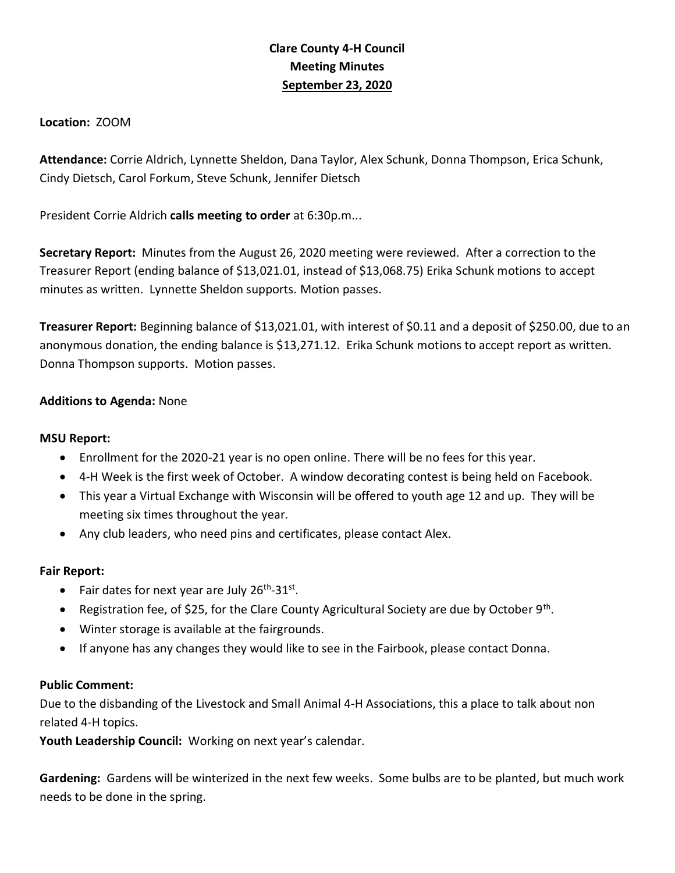# **Clare County 4-H Council Meeting Minutes September 23, 2020**

**Location:** ZOOM

**Attendance:** Corrie Aldrich, Lynnette Sheldon, Dana Taylor, Alex Schunk, Donna Thompson, Erica Schunk, Cindy Dietsch, Carol Forkum, Steve Schunk, Jennifer Dietsch

President Corrie Aldrich **calls meeting to order** at 6:30p.m...

**Secretary Report:** Minutes from the August 26, 2020 meeting were reviewed. After a correction to the Treasurer Report (ending balance of \$13,021.01, instead of \$13,068.75) Erika Schunk motions to accept minutes as written. Lynnette Sheldon supports. Motion passes.

**Treasurer Report:** Beginning balance of \$13,021.01, with interest of \$0.11 and a deposit of \$250.00, due to an anonymous donation, the ending balance is \$13,271.12. Erika Schunk motions to accept report as written. Donna Thompson supports. Motion passes.

## **Additions to Agenda:** None

### **MSU Report:**

- Enrollment for the 2020-21 year is no open online. There will be no fees for this year.
- 4-H Week is the first week of October. A window decorating contest is being held on Facebook.
- This year a Virtual Exchange with Wisconsin will be offered to youth age 12 and up. They will be meeting six times throughout the year.
- Any club leaders, who need pins and certificates, please contact Alex.

#### **Fair Report:**

- Fair dates for next year are July 26<sup>th</sup>-31<sup>st</sup>.
- Registration fee, of \$25, for the Clare County Agricultural Society are due by October 9<sup>th</sup>.
- Winter storage is available at the fairgrounds.
- If anyone has any changes they would like to see in the Fairbook, please contact Donna.

### **Public Comment:**

Due to the disbanding of the Livestock and Small Animal 4-H Associations, this a place to talk about non related 4-H topics.

**Youth Leadership Council:** Working on next year's calendar.

**Gardening:** Gardens will be winterized in the next few weeks. Some bulbs are to be planted, but much work needs to be done in the spring.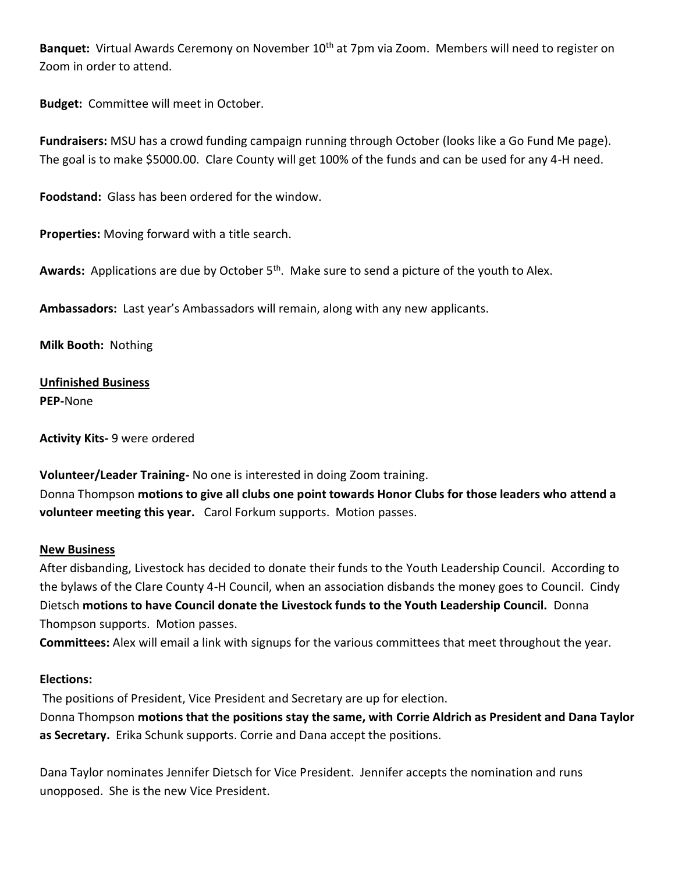Banquet: Virtual Awards Ceremony on November 10<sup>th</sup> at 7pm via Zoom. Members will need to register on Zoom in order to attend.

**Budget:** Committee will meet in October.

**Fundraisers:** MSU has a crowd funding campaign running through October (looks like a Go Fund Me page). The goal is to make \$5000.00. Clare County will get 100% of the funds and can be used for any 4-H need.

**Foodstand:** Glass has been ordered for the window.

**Properties:** Moving forward with a title search.

Awards: Applications are due by October 5<sup>th</sup>. Make sure to send a picture of the youth to Alex.

**Ambassadors:** Last year's Ambassadors will remain, along with any new applicants.

**Milk Booth:** Nothing

**Unfinished Business PEP-**None

**Activity Kits-** 9 were ordered

**Volunteer/Leader Training-** No one is interested in doing Zoom training. Donna Thompson **motions to give all clubs one point towards Honor Clubs for those leaders who attend a volunteer meeting this year.** Carol Forkum supports. Motion passes.

#### **New Business**

After disbanding, Livestock has decided to donate their funds to the Youth Leadership Council. According to the bylaws of the Clare County 4-H Council, when an association disbands the money goes to Council. Cindy Dietsch **motions to have Council donate the Livestock funds to the Youth Leadership Council.** Donna Thompson supports. Motion passes.

**Committees:** Alex will email a link with signups for the various committees that meet throughout the year.

#### **Elections:**

The positions of President, Vice President and Secretary are up for election. Donna Thompson **motions that the positions stay the same, with Corrie Aldrich as President and Dana Taylor as Secretary.** Erika Schunk supports. Corrie and Dana accept the positions.

Dana Taylor nominates Jennifer Dietsch for Vice President. Jennifer accepts the nomination and runs unopposed. She is the new Vice President.